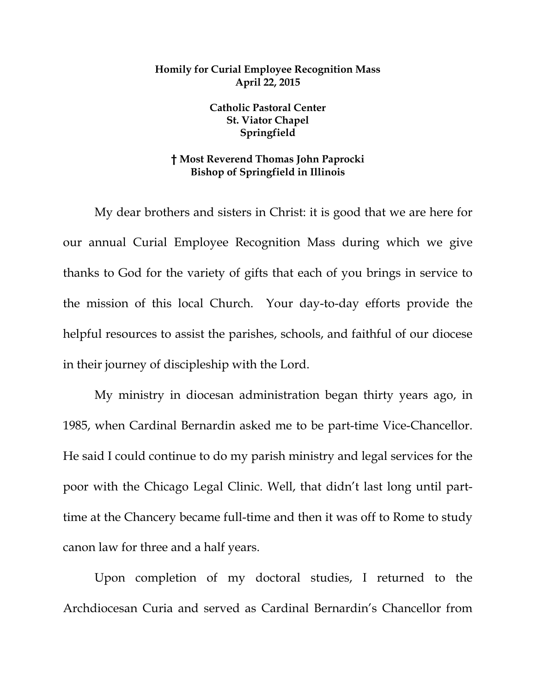## **Homily for Curial Employee Recognition Mass April 22, 2015**

**Catholic Pastoral Center St. Viator Chapel Springfield** 

## **† Most Reverend Thomas John Paprocki Bishop of Springfield in Illinois**

My dear brothers and sisters in Christ: it is good that we are here for our annual Curial Employee Recognition Mass during which we give thanks to God for the variety of gifts that each of you brings in service to the mission of this local Church. Your day-to-day efforts provide the helpful resources to assist the parishes, schools, and faithful of our diocese in their journey of discipleship with the Lord.

 My ministry in diocesan administration began thirty years ago, in 1985, when Cardinal Bernardin asked me to be part-time Vice-Chancellor. He said I could continue to do my parish ministry and legal services for the poor with the Chicago Legal Clinic. Well, that didn't last long until parttime at the Chancery became full-time and then it was off to Rome to study canon law for three and a half years.

 Upon completion of my doctoral studies, I returned to the Archdiocesan Curia and served as Cardinal Bernardin's Chancellor from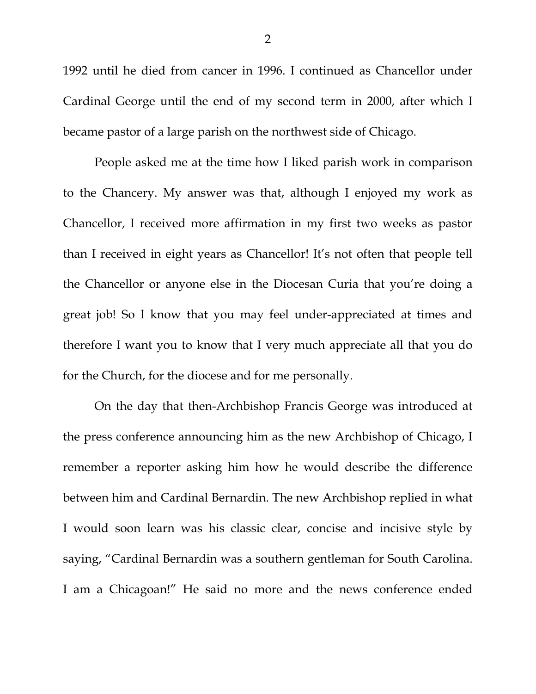1992 until he died from cancer in 1996. I continued as Chancellor under Cardinal George until the end of my second term in 2000, after which I became pastor of a large parish on the northwest side of Chicago.

 People asked me at the time how I liked parish work in comparison to the Chancery. My answer was that, although I enjoyed my work as Chancellor, I received more affirmation in my first two weeks as pastor than I received in eight years as Chancellor! It's not often that people tell the Chancellor or anyone else in the Diocesan Curia that you're doing a great job! So I know that you may feel under-appreciated at times and therefore I want you to know that I very much appreciate all that you do for the Church, for the diocese and for me personally.

 On the day that then-Archbishop Francis George was introduced at the press conference announcing him as the new Archbishop of Chicago, I remember a reporter asking him how he would describe the difference between him and Cardinal Bernardin. The new Archbishop replied in what I would soon learn was his classic clear, concise and incisive style by saying, "Cardinal Bernardin was a southern gentleman for South Carolina. I am a Chicagoan!" He said no more and the news conference ended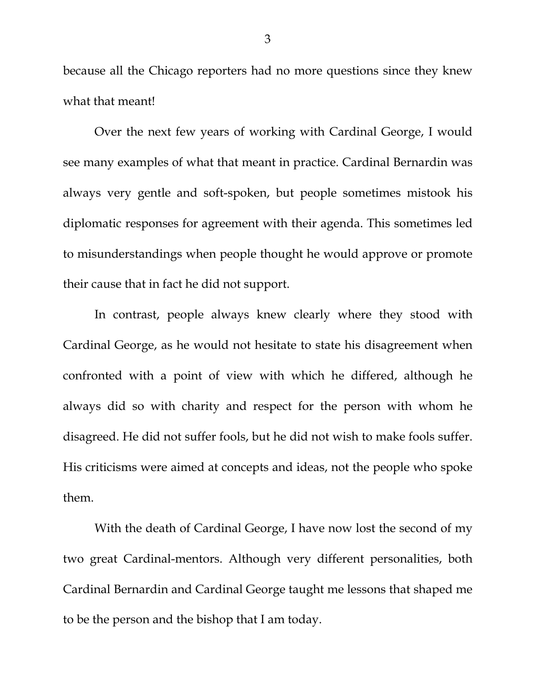because all the Chicago reporters had no more questions since they knew what that meant!

 Over the next few years of working with Cardinal George, I would see many examples of what that meant in practice. Cardinal Bernardin was always very gentle and soft-spoken, but people sometimes mistook his diplomatic responses for agreement with their agenda. This sometimes led to misunderstandings when people thought he would approve or promote their cause that in fact he did not support.

 In contrast, people always knew clearly where they stood with Cardinal George, as he would not hesitate to state his disagreement when confronted with a point of view with which he differed, although he always did so with charity and respect for the person with whom he disagreed. He did not suffer fools, but he did not wish to make fools suffer. His criticisms were aimed at concepts and ideas, not the people who spoke them.

 With the death of Cardinal George, I have now lost the second of my two great Cardinal-mentors. Although very different personalities, both Cardinal Bernardin and Cardinal George taught me lessons that shaped me to be the person and the bishop that I am today.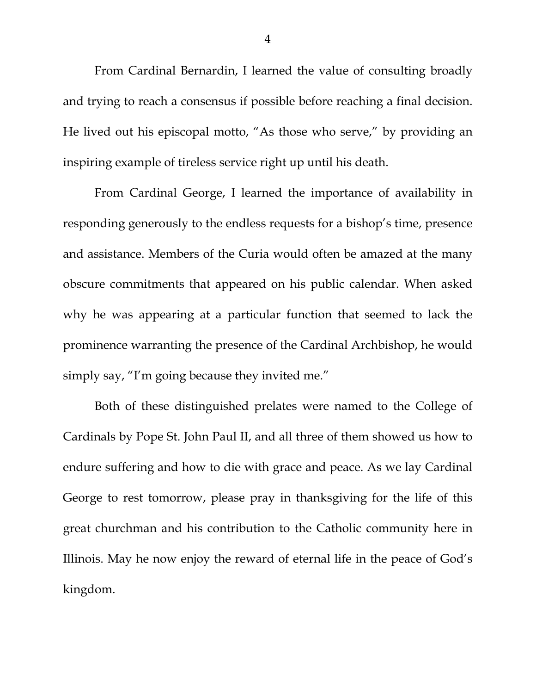From Cardinal Bernardin, I learned the value of consulting broadly and trying to reach a consensus if possible before reaching a final decision. He lived out his episcopal motto, "As those who serve," by providing an inspiring example of tireless service right up until his death.

 From Cardinal George, I learned the importance of availability in responding generously to the endless requests for a bishop's time, presence and assistance. Members of the Curia would often be amazed at the many obscure commitments that appeared on his public calendar. When asked why he was appearing at a particular function that seemed to lack the prominence warranting the presence of the Cardinal Archbishop, he would simply say, "I'm going because they invited me."

 Both of these distinguished prelates were named to the College of Cardinals by Pope St. John Paul II, and all three of them showed us how to endure suffering and how to die with grace and peace. As we lay Cardinal George to rest tomorrow, please pray in thanksgiving for the life of this great churchman and his contribution to the Catholic community here in Illinois. May he now enjoy the reward of eternal life in the peace of God's kingdom.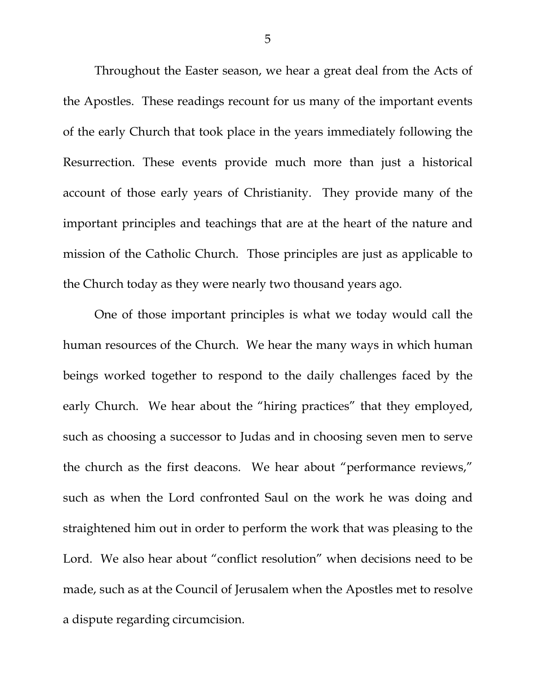Throughout the Easter season, we hear a great deal from the Acts of the Apostles. These readings recount for us many of the important events of the early Church that took place in the years immediately following the Resurrection. These events provide much more than just a historical account of those early years of Christianity. They provide many of the important principles and teachings that are at the heart of the nature and mission of the Catholic Church. Those principles are just as applicable to the Church today as they were nearly two thousand years ago.

 One of those important principles is what we today would call the human resources of the Church. We hear the many ways in which human beings worked together to respond to the daily challenges faced by the early Church. We hear about the "hiring practices" that they employed, such as choosing a successor to Judas and in choosing seven men to serve the church as the first deacons. We hear about "performance reviews," such as when the Lord confronted Saul on the work he was doing and straightened him out in order to perform the work that was pleasing to the Lord. We also hear about "conflict resolution" when decisions need to be made, such as at the Council of Jerusalem when the Apostles met to resolve a dispute regarding circumcision.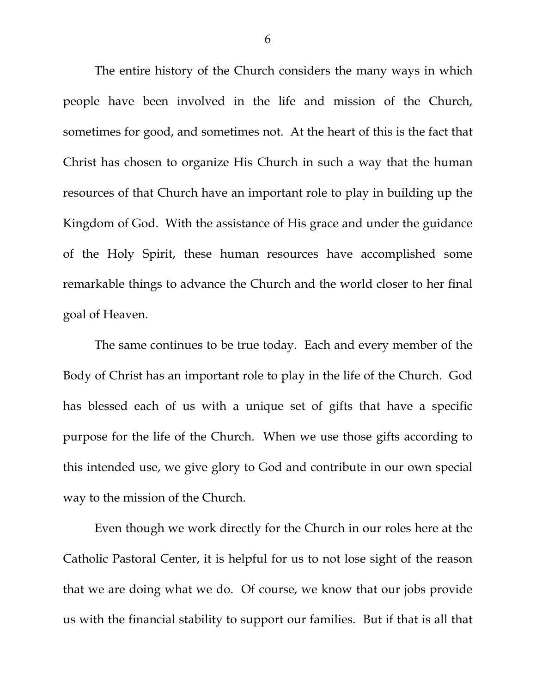The entire history of the Church considers the many ways in which people have been involved in the life and mission of the Church, sometimes for good, and sometimes not. At the heart of this is the fact that Christ has chosen to organize His Church in such a way that the human resources of that Church have an important role to play in building up the Kingdom of God. With the assistance of His grace and under the guidance of the Holy Spirit, these human resources have accomplished some remarkable things to advance the Church and the world closer to her final goal of Heaven.

 The same continues to be true today. Each and every member of the Body of Christ has an important role to play in the life of the Church. God has blessed each of us with a unique set of gifts that have a specific purpose for the life of the Church. When we use those gifts according to this intended use, we give glory to God and contribute in our own special way to the mission of the Church.

 Even though we work directly for the Church in our roles here at the Catholic Pastoral Center, it is helpful for us to not lose sight of the reason that we are doing what we do. Of course, we know that our jobs provide us with the financial stability to support our families. But if that is all that

6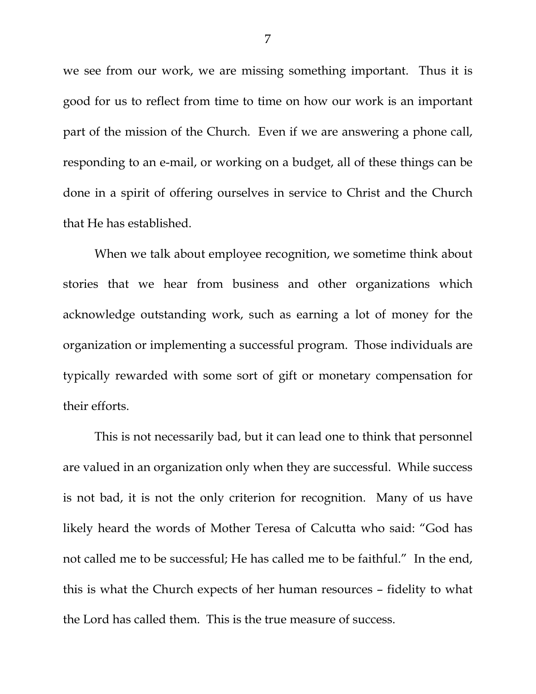we see from our work, we are missing something important. Thus it is good for us to reflect from time to time on how our work is an important part of the mission of the Church. Even if we are answering a phone call, responding to an e-mail, or working on a budget, all of these things can be done in a spirit of offering ourselves in service to Christ and the Church that He has established.

 When we talk about employee recognition, we sometime think about stories that we hear from business and other organizations which acknowledge outstanding work, such as earning a lot of money for the organization or implementing a successful program. Those individuals are typically rewarded with some sort of gift or monetary compensation for their efforts.

 This is not necessarily bad, but it can lead one to think that personnel are valued in an organization only when they are successful. While success is not bad, it is not the only criterion for recognition. Many of us have likely heard the words of Mother Teresa of Calcutta who said: "God has not called me to be successful; He has called me to be faithful." In the end, this is what the Church expects of her human resources – fidelity to what the Lord has called them. This is the true measure of success.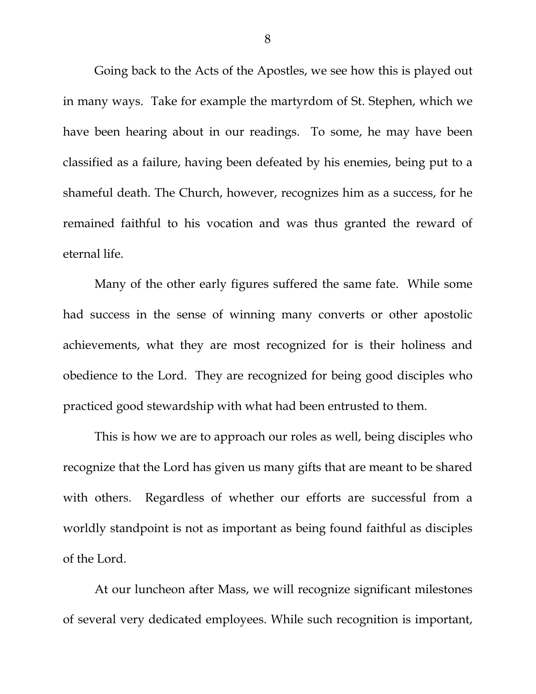Going back to the Acts of the Apostles, we see how this is played out in many ways. Take for example the martyrdom of St. Stephen, which we have been hearing about in our readings. To some, he may have been classified as a failure, having been defeated by his enemies, being put to a shameful death. The Church, however, recognizes him as a success, for he remained faithful to his vocation and was thus granted the reward of eternal life.

Many of the other early figures suffered the same fate. While some had success in the sense of winning many converts or other apostolic achievements, what they are most recognized for is their holiness and obedience to the Lord. They are recognized for being good disciples who practiced good stewardship with what had been entrusted to them.

 This is how we are to approach our roles as well, being disciples who recognize that the Lord has given us many gifts that are meant to be shared with others. Regardless of whether our efforts are successful from a worldly standpoint is not as important as being found faithful as disciples of the Lord.

 At our luncheon after Mass, we will recognize significant milestones of several very dedicated employees. While such recognition is important,